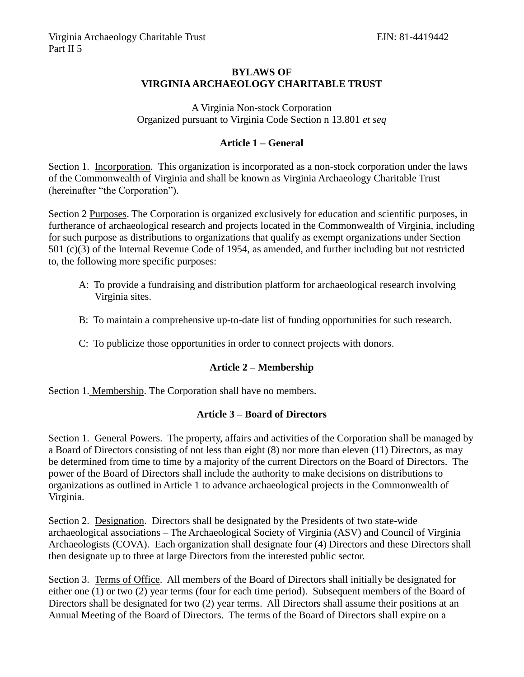## **BYLAWS OF VIRGINIA ARCHAEOLOGY CHARITABLE TRUST**

A Virginia Non-stock Corporation Organized pursuant to Virginia Code Section n 13.801 *et seq*

# **Article 1 – General**

Section 1. Incorporation. This organization is incorporated as a non-stock corporation under the laws of the Commonwealth of Virginia and shall be known as Virginia Archaeology Charitable Trust (hereinafter "the Corporation").

Section 2 Purposes. The Corporation is organized exclusively for education and scientific purposes, in furtherance of archaeological research and projects located in the Commonwealth of Virginia, including for such purpose as distributions to organizations that qualify as exempt organizations under Section 501 (c)(3) of the Internal Revenue Code of 1954, as amended, and further including but not restricted to, the following more specific purposes:

- A: To provide a fundraising and distribution platform for archaeological research involving Virginia sites.
- B: To maintain a comprehensive up-to-date list of funding opportunities for such research.
- C: To publicize those opportunities in order to connect projects with donors.

### **Article 2 – Membership**

Section 1. Membership. The Corporation shall have no members.

### **Article 3 – Board of Directors**

Section 1. General Powers. The property, affairs and activities of the Corporation shall be managed by a Board of Directors consisting of not less than eight (8) nor more than eleven (11) Directors, as may be determined from time to time by a majority of the current Directors on the Board of Directors. The power of the Board of Directors shall include the authority to make decisions on distributions to organizations as outlined in Article 1 to advance archaeological projects in the Commonwealth of Virginia.

Section 2. Designation. Directors shall be designated by the Presidents of two state-wide archaeological associations – The Archaeological Society of Virginia (ASV) and Council of Virginia Archaeologists (COVA). Each organization shall designate four (4) Directors and these Directors shall then designate up to three at large Directors from the interested public sector.

Section 3. Terms of Office. All members of the Board of Directors shall initially be designated for either one (1) or two (2) year terms (four for each time period). Subsequent members of the Board of Directors shall be designated for two (2) year terms. All Directors shall assume their positions at an Annual Meeting of the Board of Directors. The terms of the Board of Directors shall expire on a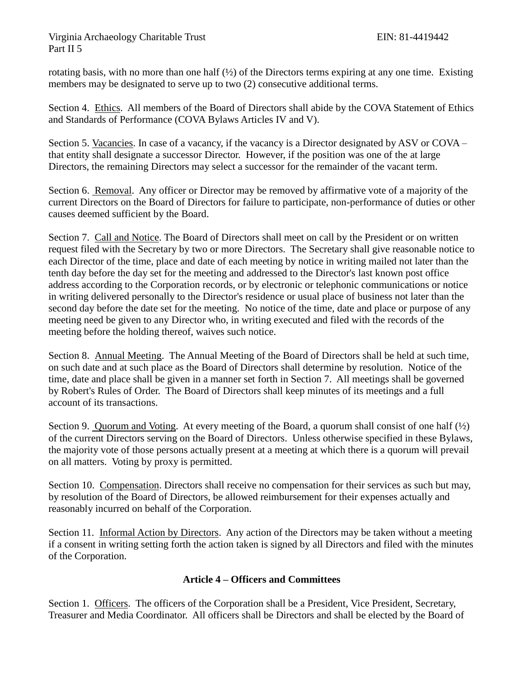## Virginia Archaeology Charitable Trust EIN: 81-4419442 Part II 5

rotating basis, with no more than one half  $(\frac{1}{2})$  of the Directors terms expiring at any one time. Existing members may be designated to serve up to two (2) consecutive additional terms.

Section 4. Ethics. All members of the Board of Directors shall abide by the COVA Statement of Ethics and Standards of Performance (COVA Bylaws Articles IV and V).

Section 5. Vacancies. In case of a vacancy, if the vacancy is a Director designated by ASV or COVA – that entity shall designate a successor Director. However, if the position was one of the at large Directors, the remaining Directors may select a successor for the remainder of the vacant term.

Section 6. Removal. Any officer or Director may be removed by affirmative vote of a majority of the current Directors on the Board of Directors for failure to participate, non-performance of duties or other causes deemed sufficient by the Board.

Section 7. Call and Notice. The Board of Directors shall meet on call by the President or on written request filed with the Secretary by two or more Directors. The Secretary shall give reasonable notice to each Director of the time, place and date of each meeting by notice in writing mailed not later than the tenth day before the day set for the meeting and addressed to the Director's last known post office address according to the Corporation records, or by electronic or telephonic communications or notice in writing delivered personally to the Director's residence or usual place of business not later than the second day before the date set for the meeting. No notice of the time, date and place or purpose of any meeting need be given to any Director who, in writing executed and filed with the records of the meeting before the holding thereof, waives such notice.

Section 8. Annual Meeting. The Annual Meeting of the Board of Directors shall be held at such time, on such date and at such place as the Board of Directors shall determine by resolution. Notice of the time, date and place shall be given in a manner set forth in Section 7. All meetings shall be governed by Robert's Rules of Order. The Board of Directors shall keep minutes of its meetings and a full account of its transactions.

Section 9. Quorum and Voting. At every meeting of the Board, a quorum shall consist of one half  $\frac{1}{2}$ of the current Directors serving on the Board of Directors. Unless otherwise specified in these Bylaws, the majority vote of those persons actually present at a meeting at which there is a quorum will prevail on all matters. Voting by proxy is permitted.

Section 10. Compensation. Directors shall receive no compensation for their services as such but may, by resolution of the Board of Directors, be allowed reimbursement for their expenses actually and reasonably incurred on behalf of the Corporation.

Section 11. Informal Action by Directors. Any action of the Directors may be taken without a meeting if a consent in writing setting forth the action taken is signed by all Directors and filed with the minutes of the Corporation.

# **Article 4 – Officers and Committees**

Section 1. Officers. The officers of the Corporation shall be a President, Vice President, Secretary, Treasurer and Media Coordinator. All officers shall be Directors and shall be elected by the Board of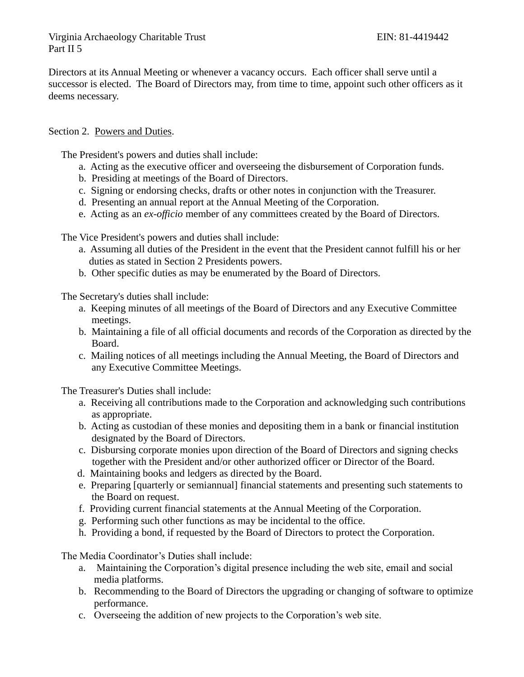Directors at its Annual Meeting or whenever a vacancy occurs. Each officer shall serve until a successor is elected. The Board of Directors may, from time to time, appoint such other officers as it deems necessary.

### Section 2. Powers and Duties.

The President's powers and duties shall include:

- a. Acting as the executive officer and overseeing the disbursement of Corporation funds.
- b. Presiding at meetings of the Board of Directors.
- c. Signing or endorsing checks, drafts or other notes in conjunction with the Treasurer.
- d. Presenting an annual report at the Annual Meeting of the Corporation.
- e. Acting as an *ex-officio* member of any committees created by the Board of Directors.

The Vice President's powers and duties shall include:

- a. Assuming all duties of the President in the event that the President cannot fulfill his or her duties as stated in Section 2 Presidents powers.
- b. Other specific duties as may be enumerated by the Board of Directors.

The Secretary's duties shall include:

- a. Keeping minutes of all meetings of the Board of Directors and any Executive Committee meetings.
- b. Maintaining a file of all official documents and records of the Corporation as directed by the Board.
- c. Mailing notices of all meetings including the Annual Meeting, the Board of Directors and any Executive Committee Meetings.

The Treasurer's Duties shall include:

- a. Receiving all contributions made to the Corporation and acknowledging such contributions as appropriate.
- b. Acting as custodian of these monies and depositing them in a bank or financial institution designated by the Board of Directors.
- c. Disbursing corporate monies upon direction of the Board of Directors and signing checks together with the President and/or other authorized officer or Director of the Board.
- d. Maintaining books and ledgers as directed by the Board.
- e. Preparing [quarterly or semiannual] financial statements and presenting such statements to the Board on request.
- f. Providing current financial statements at the Annual Meeting of the Corporation.
- g. Performing such other functions as may be incidental to the office.
- h. Providing a bond, if requested by the Board of Directors to protect the Corporation.

The Media Coordinator's Duties shall include:

- a. Maintaining the Corporation's digital presence including the web site, email and social media platforms.
- b. Recommending to the Board of Directors the upgrading or changing of software to optimize performance.
- c. Overseeing the addition of new projects to the Corporation's web site.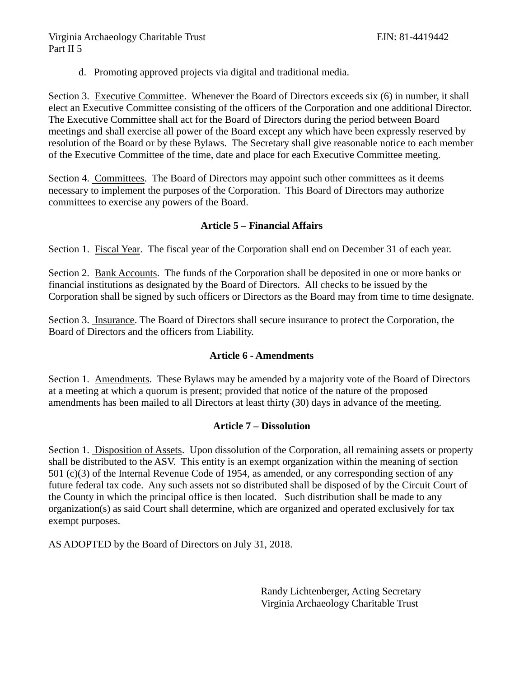d. Promoting approved projects via digital and traditional media.

Section 3. Executive Committee. Whenever the Board of Directors exceeds six (6) in number, it shall elect an Executive Committee consisting of the officers of the Corporation and one additional Director. The Executive Committee shall act for the Board of Directors during the period between Board meetings and shall exercise all power of the Board except any which have been expressly reserved by resolution of the Board or by these Bylaws. The Secretary shall give reasonable notice to each member of the Executive Committee of the time, date and place for each Executive Committee meeting.

Section 4. Committees. The Board of Directors may appoint such other committees as it deems necessary to implement the purposes of the Corporation. This Board of Directors may authorize committees to exercise any powers of the Board.

### **Article 5 – Financial Affairs**

Section 1. Fiscal Year. The fiscal year of the Corporation shall end on December 31 of each year.

Section 2. Bank Accounts. The funds of the Corporation shall be deposited in one or more banks or financial institutions as designated by the Board of Directors. All checks to be issued by the Corporation shall be signed by such officers or Directors as the Board may from time to time designate.

Section 3. Insurance. The Board of Directors shall secure insurance to protect the Corporation, the Board of Directors and the officers from Liability.

### **Article 6 - Amendments**

Section 1. Amendments. These Bylaws may be amended by a majority vote of the Board of Directors at a meeting at which a quorum is present; provided that notice of the nature of the proposed amendments has been mailed to all Directors at least thirty (30) days in advance of the meeting.

### **Article 7 – Dissolution**

Section 1. Disposition of Assets. Upon dissolution of the Corporation, all remaining assets or property shall be distributed to the ASV. This entity is an exempt organization within the meaning of section 501 (c)(3) of the Internal Revenue Code of 1954, as amended, or any corresponding section of any future federal tax code. Any such assets not so distributed shall be disposed of by the Circuit Court of the County in which the principal office is then located. Such distribution shall be made to any organization(s) as said Court shall determine, which are organized and operated exclusively for tax exempt purposes.

AS ADOPTED by the Board of Directors on July 31, 2018.

Randy Lichtenberger, Acting Secretary Virginia Archaeology Charitable Trust